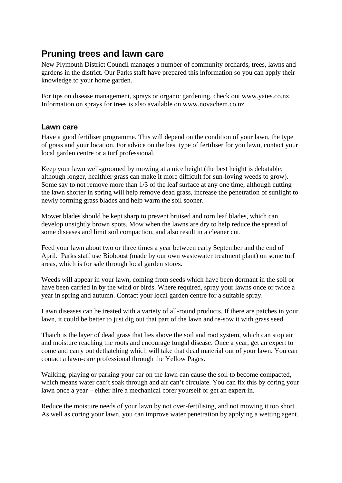# **Pruning trees and lawn care**

New Plymouth District Council manages a number of community orchards, trees, lawns and gardens in the district. Our Parks staff have prepared this information so you can apply their knowledge to your home garden.

For tips on disease management, sprays or organic gardening, check out www.yates.co.nz. Information on sprays for trees is also available on www.novachem.co.nz.

# **Lawn care**

Have a good fertiliser programme. This will depend on the condition of your lawn, the type of grass and your location. For advice on the best type of fertiliser for you lawn, contact your local garden centre or a turf professional.

Keep your lawn well-groomed by mowing at a nice height (the best height is debatable; although longer, healthier grass can make it more difficult for sun-loving weeds to grow). Some say to not remove more than 1/3 of the leaf surface at any one time, although cutting the lawn shorter in spring will help remove dead grass, increase the penetration of sunlight to newly forming grass blades and help warm the soil sooner.

Mower blades should be kept sharp to prevent bruised and torn leaf blades, which can develop unsightly brown spots. Mow when the lawns are dry to help reduce the spread of some diseases and limit soil compaction, and also result in a cleaner cut.

Feed your lawn about two or three times a year between early September and the end of April. Parks staff use Bioboost (made by our own wastewater treatment plant) on some turf areas, which is for sale through local garden stores.

Weeds will appear in your lawn, coming from seeds which have been dormant in the soil or have been carried in by the wind or birds. Where required, spray your lawns once or twice a year in spring and autumn. Contact your local garden centre for a suitable spray.

Lawn diseases can be treated with a variety of all-round products. If there are patches in your lawn, it could be better to just dig out that part of the lawn and re-sow it with grass seed.

Thatch is the layer of dead grass that lies above the soil and root system, which can stop air and moisture reaching the roots and encourage fungal disease. Once a year, get an expert to come and carry out dethatching which will take that dead material out of your lawn. You can contact a lawn-care professional through the Yellow Pages.

Walking, playing or parking your car on the lawn can cause the soil to become compacted, which means water can't soak through and air can't circulate. You can fix this by coring your lawn once a year – either hire a mechanical corer yourself or get an expert in.

Reduce the moisture needs of your lawn by not over-fertilising, and not mowing it too short. As well as coring your lawn, you can improve water penetration by applying a wetting agent.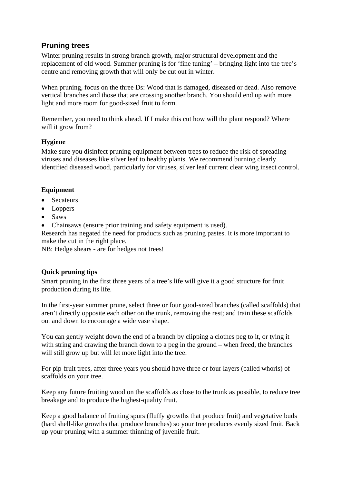# **Pruning trees**

Winter pruning results in strong branch growth, major structural development and the replacement of old wood. Summer pruning is for 'fine tuning' – bringing light into the tree's centre and removing growth that will only be cut out in winter.

When pruning, focus on the three Ds: Wood that is damaged, diseased or dead. Also remove vertical branches and those that are crossing another branch. You should end up with more light and more room for good-sized fruit to form.

Remember, you need to think ahead. If I make this cut how will the plant respond? Where will it grow from?

# **Hygiene**

Make sure you disinfect pruning equipment between trees to reduce the risk of spreading viruses and diseases like silver leaf to healthy plants. We recommend burning clearly identified diseased wood, particularly for viruses, silver leaf current clear wing insect control.

# **Equipment**

- Secateurs
- Loppers
- Saws
- Chainsaws (ensure prior training and safety equipment is used).

Research has negated the need for products such as pruning pastes. It is more important to make the cut in the right place.

NB: Hedge shears - are for hedges not trees!

# **Quick pruning tips**

Smart pruning in the first three years of a tree's life will give it a good structure for fruit production during its life.

In the first-year summer prune, select three or four good-sized branches (called scaffolds) that aren't directly opposite each other on the trunk, removing the rest; and train these scaffolds out and down to encourage a wide vase shape.

You can gently weight down the end of a branch by clipping a clothes peg to it, or tying it with string and drawing the branch down to a peg in the ground – when freed, the branches will still grow up but will let more light into the tree.

For pip-fruit trees, after three years you should have three or four layers (called whorls) of scaffolds on your tree.

Keep any future fruiting wood on the scaffolds as close to the trunk as possible, to reduce tree breakage and to produce the highest-quality fruit.

Keep a good balance of fruiting spurs (fluffy growths that produce fruit) and vegetative buds (hard shell-like growths that produce branches) so your tree produces evenly sized fruit. Back up your pruning with a summer thinning of juvenile fruit.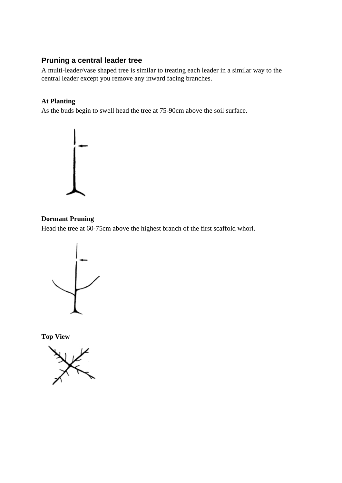# **Pruning a central leader tree**

A multi-leader/vase shaped tree is similar to treating each leader in a similar way to the central leader except you remove any inward facing branches.

### **At Planting**

As the buds begin to swell head the tree at 75-90cm above the soil surface.



### **Dormant Pruning**

Head the tree at 60-75cm above the highest branch of the first scaffold whorl.



**Top View** 

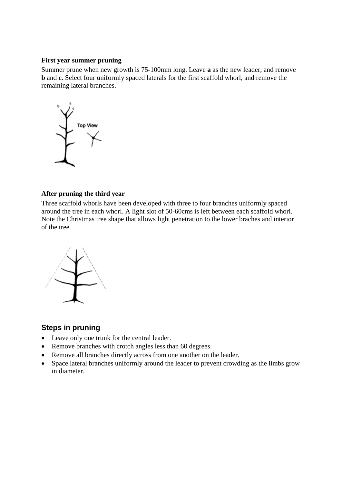#### **First year summer pruning**

Summer prune when new growth is 75-100mm long. Leave **a** as the new leader, and remove **b** and **c**. Select four uniformly spaced laterals for the first scaffold whorl, and remove the remaining lateral branches.



### **After pruning the third year**

Three scaffold whorls have been developed with three to four branches uniformly spaced around the tree in each whorl. A light slot of 50-60cms is left between each scaffold whorl. Note the Christmas tree shape that allows light penetration to the lower braches and interior of the tree.



# **Steps in pruning**

- Leave only one trunk for the central leader.
- Remove branches with crotch angles less than 60 degrees.
- Remove all branches directly across from one another on the leader.
- Space lateral branches uniformly around the leader to prevent crowding as the limbs grow in diameter.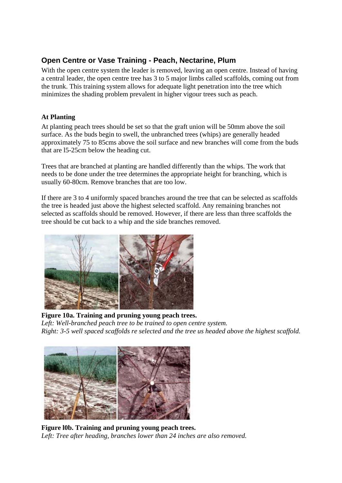# **Open Centre or Vase Training - Peach, Nectarine, Plum**

With the open centre system the leader is removed, leaving an open centre. Instead of having a central leader, the open centre tree has 3 to 5 major limbs called scaffolds, coming out from the trunk. This training system allows for adequate light penetration into the tree which minimizes the shading problem prevalent in higher vigour trees such as peach.

# **At Planting**

At planting peach trees should be set so that the graft union will be 50mm above the soil surface. As the buds begin to swell, the unbranched trees (whips) are generally headed approximately 75 to 85cms above the soil surface and new branches will come from the buds that are l5-25cm below the heading cut.

Trees that are branched at planting are handled differently than the whips. The work that needs to be done under the tree determines the appropriate height for branching, which is usually 60-80cm. Remove branches that are too low.

If there are 3 to 4 uniformly spaced branches around the tree that can be selected as scaffolds the tree is headed just above the highest selected scaffold. Any remaining branches not selected as scaffolds should be removed. However, if there are less than three scaffolds the tree should be cut back to a whip and the side branches removed.



 **Figure 10a. Training and pruning young peach trees.**  Left: Well-branched peach tree to be trained to open centre system. *Right: 3-5 well spaced scaffolds re selected and the tree us headed above the highest scaffold.* 



**Figure l0b. Training and pruning young peach trees.**  *Left: Tree after heading, branches lower than 24 inches are also removed.*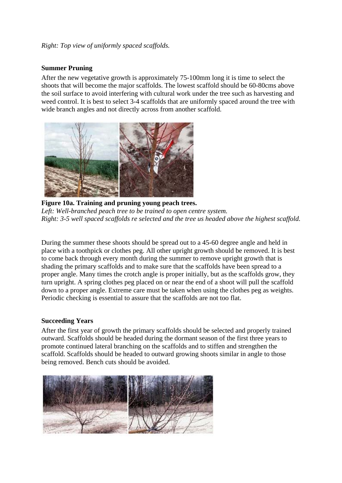### *Right: Top view of uniformly spaced scaffolds.*

#### **Summer Pruning**

After the new vegetative growth is approximately 75-100mm long it is time to select the shoots that will become the major scaffolds. The lowest scaffold should be 60-80cms above the soil surface to avoid interfering with cultural work under the tree such as harvesting and weed control. It is best to select 3-4 scaffolds that are uniformly spaced around the tree with wide branch angles and not directly across from another scaffold.



 **Figure 10a. Training and pruning young peach trees.**  Left: Well-branched peach tree to be trained to open centre system. *Right: 3-5 well spaced scaffolds re selected and the tree us headed above the highest scaffold.* 

During the summer these shoots should be spread out to a 45-60 degree angle and held in place with a toothpick or clothes peg. All other upright growth should be removed. It is best to come back through every month during the summer to remove upright growth that is shading the primary scaffolds and to make sure that the scaffolds have been spread to a proper angle. Many times the crotch angle is proper initially, but as the scaffolds grow, they turn upright. A spring clothes peg placed on or near the end of a shoot will pull the scaffold down to a proper angle. Extreme care must be taken when using the clothes peg as weights. Periodic checking is essential to assure that the scaffolds are not too flat.

#### **Succeeding Years**

After the first year of growth the primary scaffolds should be selected and properly trained outward. Scaffolds should be headed during the dormant season of the first three years to promote continued lateral branching on the scaffolds and to stiffen and strengthen the scaffold. Scaffolds should be headed to outward growing shoots similar in angle to those being removed. Bench cuts should be avoided.